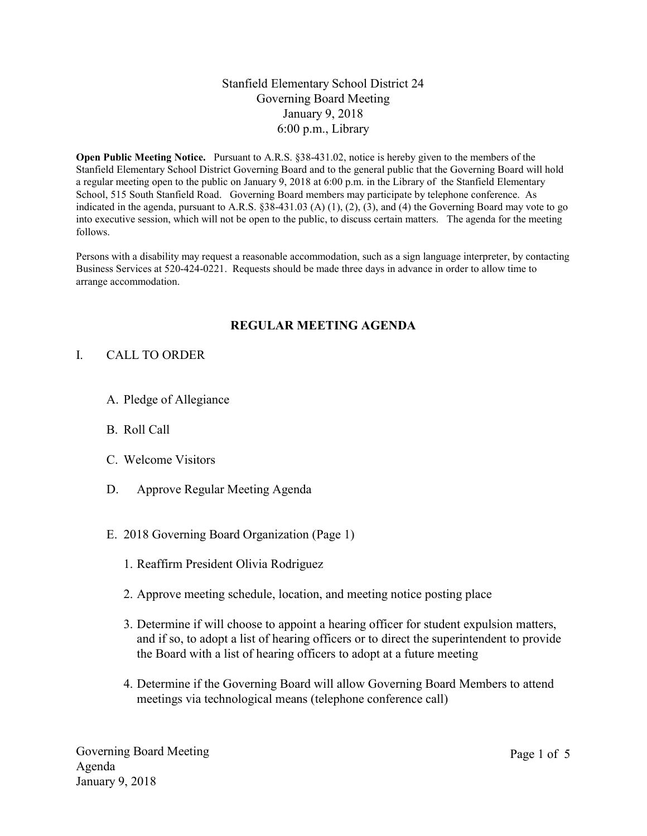# Stanfield Elementary School District 24 Governing Board Meeting January 9, 2018 6:00 p.m., Library

Open Public Meeting Notice. Pursuant to A.R.S. §38-431.02, notice is hereby given to the members of the Stanfield Elementary School District Governing Board and to the general public that the Governing Board will hold a regular meeting open to the public on January 9, 2018 at 6:00 p.m. in the Library of the Stanfield Elementary School, 515 South Stanfield Road. Governing Board members may participate by telephone conference. As indicated in the agenda, pursuant to A.R.S. §38-431.03 (A) (1), (2), (3), and (4) the Governing Board may vote to go into executive session, which will not be open to the public, to discuss certain matters. The agenda for the meeting follows.

Persons with a disability may request a reasonable accommodation, such as a sign language interpreter, by contacting Business Services at 520-424-0221. Requests should be made three days in advance in order to allow time to arrange accommodation.

### REGULAR MEETING AGENDA

### I. CALL TO ORDER

- A. Pledge of Allegiance
- B. Roll Call
- C. Welcome Visitors
- D. Approve Regular Meeting Agenda
- E. 2018 Governing Board Organization (Page 1)
	- 1. Reaffirm President Olivia Rodriguez
	- 2. Approve meeting schedule, location, and meeting notice posting place
	- 3. Determine if will choose to appoint a hearing officer for student expulsion matters, and if so, to adopt a list of hearing officers or to direct the superintendent to provide the Board with a list of hearing officers to adopt at a future meeting
	- 4. Determine if the Governing Board will allow Governing Board Members to attend meetings via technological means (telephone conference call)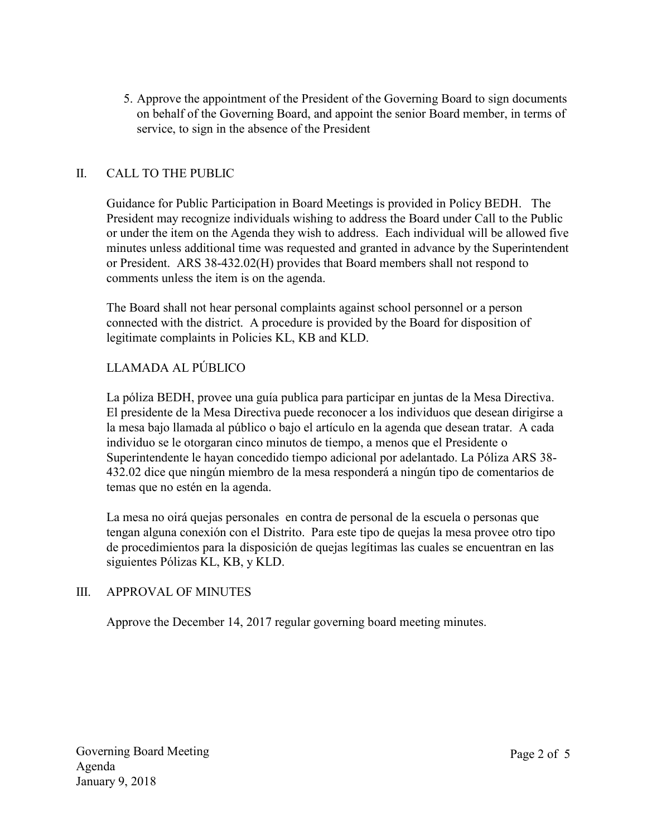5. Approve the appointment of the President of the Governing Board to sign documents on behalf of the Governing Board, and appoint the senior Board member, in terms of service, to sign in the absence of the President

# II. CALL TO THE PUBLIC

Guidance for Public Participation in Board Meetings is provided in Policy BEDH. The President may recognize individuals wishing to address the Board under Call to the Public or under the item on the Agenda they wish to address. Each individual will be allowed five minutes unless additional time was requested and granted in advance by the Superintendent or President. ARS 38-432.02(H) provides that Board members shall not respond to comments unless the item is on the agenda.

The Board shall not hear personal complaints against school personnel or a person connected with the district. A procedure is provided by the Board for disposition of legitimate complaints in Policies KL, KB and KLD.

# LLAMADA AL PÚBLICO

La póliza BEDH, provee una guía publica para participar en juntas de la Mesa Directiva. El presidente de la Mesa Directiva puede reconocer a los individuos que desean dirigirse a la mesa bajo llamada al público o bajo el artículo en la agenda que desean tratar. A cada individuo se le otorgaran cinco minutos de tiempo, a menos que el Presidente o Superintendente le hayan concedido tiempo adicional por adelantado. La Póliza ARS 38- 432.02 dice que ningún miembro de la mesa responderá a ningún tipo de comentarios de temas que no estén en la agenda.

La mesa no oirá quejas personales en contra de personal de la escuela o personas que tengan alguna conexión con el Distrito. Para este tipo de quejas la mesa provee otro tipo de procedimientos para la disposición de quejas legítimas las cuales se encuentran en las siguientes Pólizas KL, KB, y KLD.

# III. APPROVAL OF MINUTES

Approve the December 14, 2017 regular governing board meeting minutes.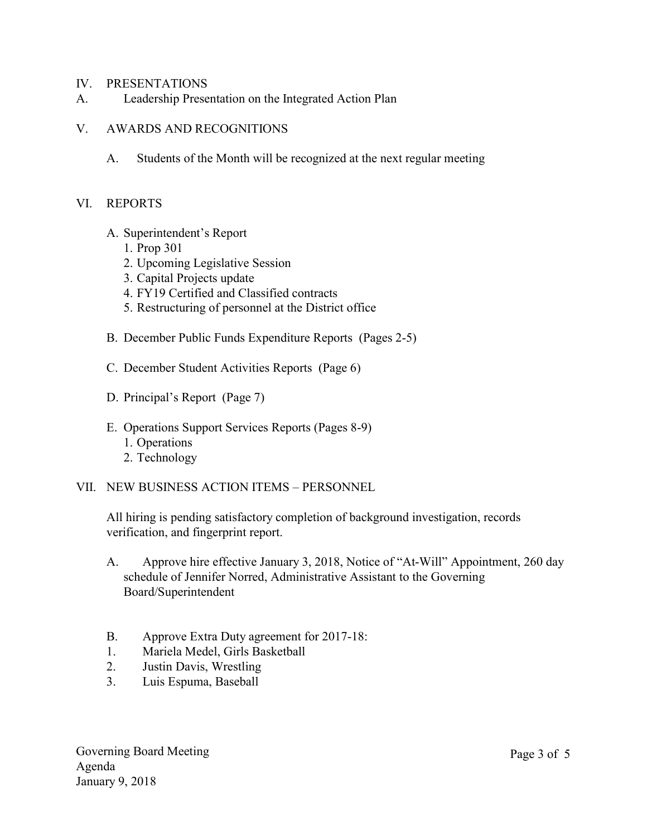#### IV. PRESENTATIONS

A. Leadership Presentation on the Integrated Action Plan

#### V. AWARDS AND RECOGNITIONS

A. Students of the Month will be recognized at the next regular meeting

#### VI. REPORTS

- A. Superintendent's Report
	- 1. Prop 301
	- 2. Upcoming Legislative Session
	- 3. Capital Projects update
	- 4. FY19 Certified and Classified contracts
	- 5. Restructuring of personnel at the District office
- B. December Public Funds Expenditure Reports (Pages 2-5)
- C. December Student Activities Reports (Page 6)
- D. Principal's Report (Page 7)
- E. Operations Support Services Reports (Pages 8-9) 1. Operations
	- 2. Technology
- VII. NEW BUSINESS ACTION ITEMS PERSONNEL

All hiring is pending satisfactory completion of background investigation, records verification, and fingerprint report.

- A. Approve hire effective January 3, 2018, Notice of "At-Will" Appointment, 260 day schedule of Jennifer Norred, Administrative Assistant to the Governing Board/Superintendent
- B. Approve Extra Duty agreement for 2017-18:
- 1. Mariela Medel, Girls Basketball
- 2. Justin Davis, Wrestling
- 3. Luis Espuma, Baseball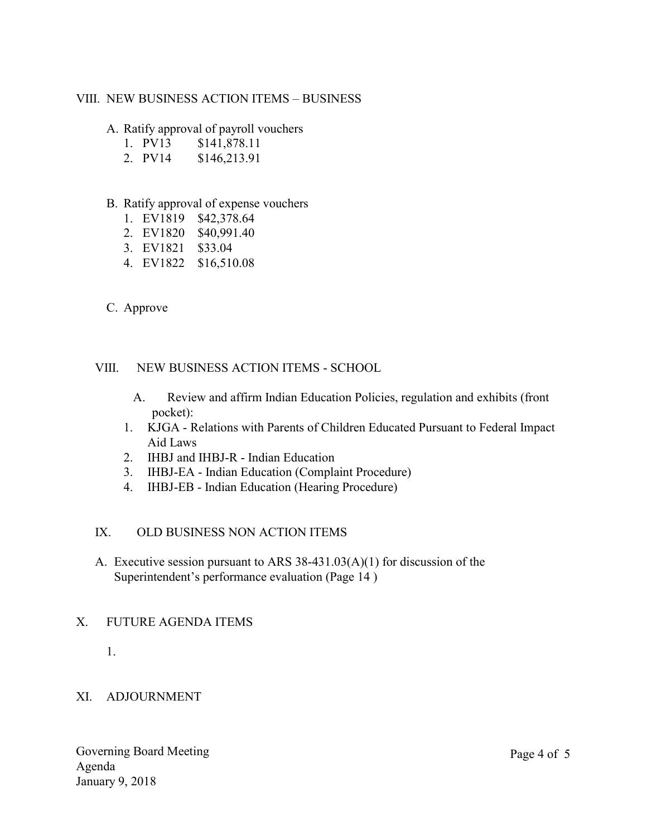## VIII. NEW BUSINESS ACTION ITEMS – BUSINESS

### A. Ratify approval of payroll vouchers

- 1. PV13 \$141,878.11
- 2. PV14 \$146,213.91
- B. Ratify approval of expense vouchers
	- 1. EV1819 \$42,378.64
	- 2. EV1820 \$40,991.40
	- 3. EV1821 \$33.04
	- 4. EV1822 \$16,510.08
- C. Approve

### VIII. NEW BUSINESS ACTION ITEMS - SCHOOL

- A. Review and affirm Indian Education Policies, regulation and exhibits (front pocket):
- 1. KJGA Relations with Parents of Children Educated Pursuant to Federal Impact Aid Laws
- 2. IHBJ and IHBJ-R Indian Education
- 3. IHBJ-EA Indian Education (Complaint Procedure)
- 4. IHBJ-EB Indian Education (Hearing Procedure)

# IX. OLD BUSINESS NON ACTION ITEMS

A. Executive session pursuant to ARS 38-431.03(A)(1) for discussion of the Superintendent's performance evaluation (Page 14 )

### X. FUTURE AGENDA ITEMS

1.

# XI. ADJOURNMENT

Governing Board Meeting Agenda January 9, 2018